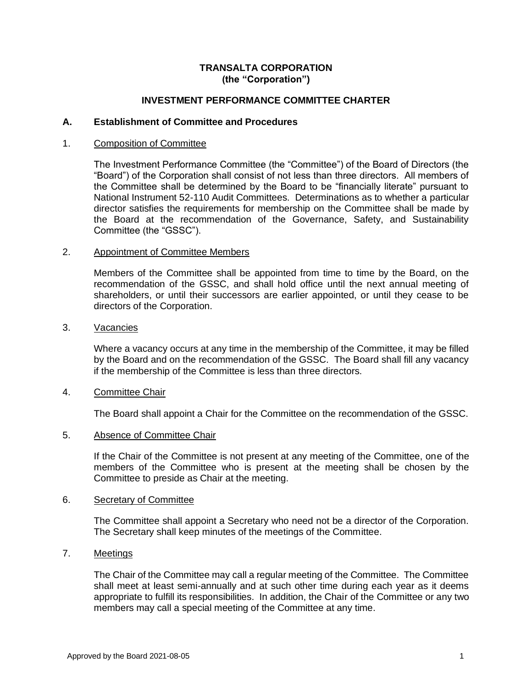## **TRANSALTA CORPORATION (the "Corporation")**

## **INVESTMENT PERFORMANCE COMMITTEE CHARTER**

## **A. Establishment of Committee and Procedures**

## 1. Composition of Committee

The Investment Performance Committee (the "Committee") of the Board of Directors (the "Board") of the Corporation shall consist of not less than three directors. All members of the Committee shall be determined by the Board to be "financially literate" pursuant to National Instrument 52-110 Audit Committees. Determinations as to whether a particular director satisfies the requirements for membership on the Committee shall be made by the Board at the recommendation of the Governance, Safety, and Sustainability Committee (the "GSSC").

## 2. Appointment of Committee Members

Members of the Committee shall be appointed from time to time by the Board, on the recommendation of the GSSC, and shall hold office until the next annual meeting of shareholders, or until their successors are earlier appointed, or until they cease to be directors of the Corporation.

#### 3. Vacancies

Where a vacancy occurs at any time in the membership of the Committee, it may be filled by the Board and on the recommendation of the GSSC. The Board shall fill any vacancy if the membership of the Committee is less than three directors.

## 4. Committee Chair

The Board shall appoint a Chair for the Committee on the recommendation of the GSSC.

## 5. Absence of Committee Chair

If the Chair of the Committee is not present at any meeting of the Committee, one of the members of the Committee who is present at the meeting shall be chosen by the Committee to preside as Chair at the meeting.

## 6. Secretary of Committee

The Committee shall appoint a Secretary who need not be a director of the Corporation. The Secretary shall keep minutes of the meetings of the Committee.

# 7. Meetings

The Chair of the Committee may call a regular meeting of the Committee. The Committee shall meet at least semi-annually and at such other time during each year as it deems appropriate to fulfill its responsibilities. In addition, the Chair of the Committee or any two members may call a special meeting of the Committee at any time.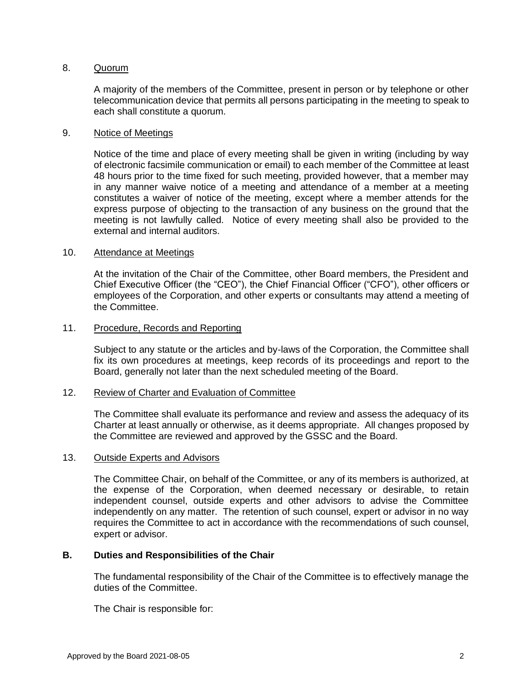## 8. Quorum

A majority of the members of the Committee, present in person or by telephone or other telecommunication device that permits all persons participating in the meeting to speak to each shall constitute a quorum.

## 9. Notice of Meetings

Notice of the time and place of every meeting shall be given in writing (including by way of electronic facsimile communication or email) to each member of the Committee at least 48 hours prior to the time fixed for such meeting, provided however, that a member may in any manner waive notice of a meeting and attendance of a member at a meeting constitutes a waiver of notice of the meeting, except where a member attends for the express purpose of objecting to the transaction of any business on the ground that the meeting is not lawfully called. Notice of every meeting shall also be provided to the external and internal auditors.

## 10. Attendance at Meetings

At the invitation of the Chair of the Committee, other Board members, the President and Chief Executive Officer (the "CEO"), the Chief Financial Officer ("CFO"), other officers or employees of the Corporation, and other experts or consultants may attend a meeting of the Committee.

## 11. Procedure, Records and Reporting

Subject to any statute or the articles and by-laws of the Corporation, the Committee shall fix its own procedures at meetings, keep records of its proceedings and report to the Board, generally not later than the next scheduled meeting of the Board.

## 12. Review of Charter and Evaluation of Committee

The Committee shall evaluate its performance and review and assess the adequacy of its Charter at least annually or otherwise, as it deems appropriate. All changes proposed by the Committee are reviewed and approved by the GSSC and the Board.

## 13. Outside Experts and Advisors

The Committee Chair, on behalf of the Committee, or any of its members is authorized, at the expense of the Corporation, when deemed necessary or desirable, to retain independent counsel, outside experts and other advisors to advise the Committee independently on any matter. The retention of such counsel, expert or advisor in no way requires the Committee to act in accordance with the recommendations of such counsel, expert or advisor.

## **B. Duties and Responsibilities of the Chair**

The fundamental responsibility of the Chair of the Committee is to effectively manage the duties of the Committee.

The Chair is responsible for: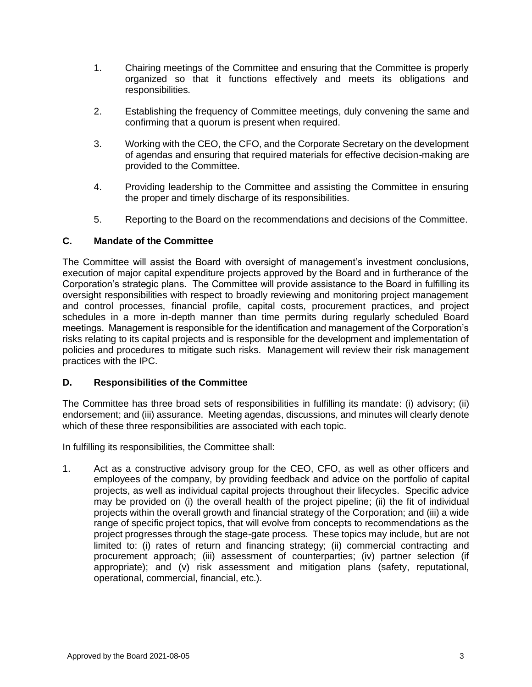- 1. Chairing meetings of the Committee and ensuring that the Committee is properly organized so that it functions effectively and meets its obligations and responsibilities.
- 2. Establishing the frequency of Committee meetings, duly convening the same and confirming that a quorum is present when required.
- 3. Working with the CEO, the CFO, and the Corporate Secretary on the development of agendas and ensuring that required materials for effective decision-making are provided to the Committee.
- 4. Providing leadership to the Committee and assisting the Committee in ensuring the proper and timely discharge of its responsibilities.
- 5. Reporting to the Board on the recommendations and decisions of the Committee.

## **C. Mandate of the Committee**

The Committee will assist the Board with oversight of management's investment conclusions, execution of major capital expenditure projects approved by the Board and in furtherance of the Corporation's strategic plans. The Committee will provide assistance to the Board in fulfilling its oversight responsibilities with respect to broadly reviewing and monitoring project management and control processes, financial profile, capital costs, procurement practices, and project schedules in a more in-depth manner than time permits during regularly scheduled Board meetings. Management is responsible for the identification and management of the Corporation's risks relating to its capital projects and is responsible for the development and implementation of policies and procedures to mitigate such risks. Management will review their risk management practices with the IPC.

## **D. Responsibilities of the Committee**

The Committee has three broad sets of responsibilities in fulfilling its mandate: (i) advisory; (ii) endorsement; and (iii) assurance. Meeting agendas, discussions, and minutes will clearly denote which of these three responsibilities are associated with each topic.

In fulfilling its responsibilities, the Committee shall:

1. Act as a constructive advisory group for the CEO, CFO, as well as other officers and employees of the company, by providing feedback and advice on the portfolio of capital projects, as well as individual capital projects throughout their lifecycles. Specific advice may be provided on (i) the overall health of the project pipeline; (ii) the fit of individual projects within the overall growth and financial strategy of the Corporation; and (iii) a wide range of specific project topics, that will evolve from concepts to recommendations as the project progresses through the stage-gate process. These topics may include, but are not limited to: (i) rates of return and financing strategy; (ii) commercial contracting and procurement approach; (iii) assessment of counterparties; (iv) partner selection (if appropriate); and (v) risk assessment and mitigation plans (safety, reputational, operational, commercial, financial, etc.).